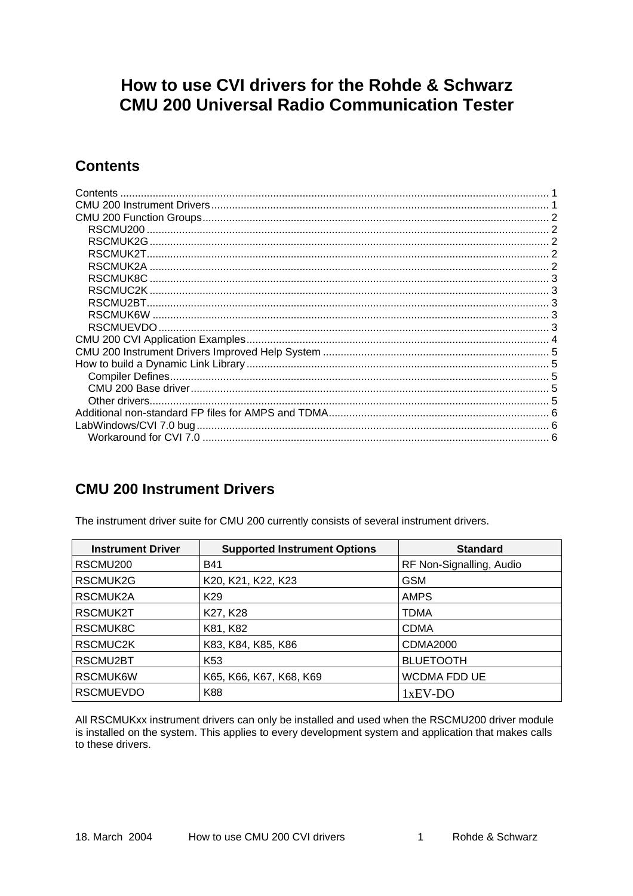# <span id="page-0-0"></span>How to use CVI drivers for the Rohde & Schwarz **CMU 200 Universal Radio Communication Tester**

## **Contents**

| Contents             |  |
|----------------------|--|
|                      |  |
|                      |  |
| RSCMU <sub>200</sub> |  |
| RSCMUK2G             |  |
|                      |  |
| RSCMUK2A             |  |
|                      |  |
| RSCMUC2K.            |  |
|                      |  |
|                      |  |
|                      |  |
|                      |  |
|                      |  |
|                      |  |
|                      |  |
|                      |  |
|                      |  |
|                      |  |
|                      |  |
|                      |  |

### **CMU 200 Instrument Drivers**

The instrument driver suite for CMU 200 currently consists of several instrument drivers.

| <b>Instrument Driver</b> | <b>Supported Instrument Options</b> | <b>Standard</b>          |
|--------------------------|-------------------------------------|--------------------------|
| RSCMU <sub>200</sub>     | <b>B41</b>                          | RF Non-Signalling, Audio |
| RSCMUK2G                 | K20, K21, K22, K23                  | <b>GSM</b>               |
| RSCMUK2A                 | K <sub>29</sub>                     | <b>AMPS</b>              |
| RSCMUK2T                 | K27, K28                            | TDMA                     |
| RSCMUK8C                 | K81, K82                            | <b>CDMA</b>              |
| RSCMUC2K                 | K83, K84, K85, K86                  | CDMA2000                 |
| RSCMU2BT                 | K <sub>53</sub>                     | <b>BLUETOOTH</b>         |
| RSCMUK6W                 | K65, K66, K67, K68, K69             | <b>WCDMA FDD UE</b>      |
| <b>RSCMUEVDO</b>         | K88                                 | $1xEV-DO$                |

All RSCMUKxx instrument drivers can only be installed and used when the RSCMU200 driver module is installed on the system. This applies to every development system and application that makes calls to these drivers.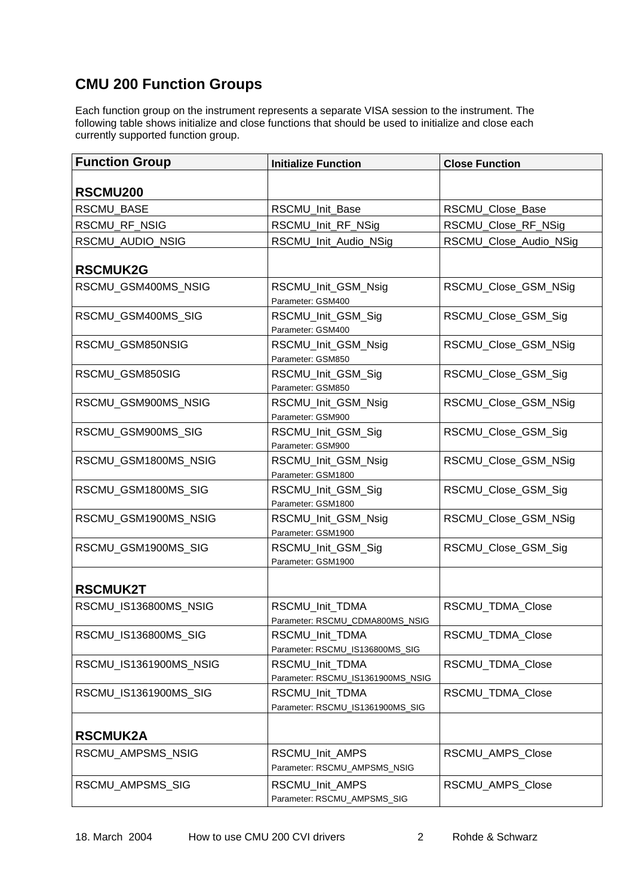# <span id="page-1-0"></span>**CMU 200 Function Groups**

Each function group on the instrument represents a separate VISA session to the instrument. The following table shows initialize and close functions that should be used to initialize and close each currently supported function group.

| <b>Function Group</b>  | <b>Initialize Function</b>                           | <b>Close Function</b>  |
|------------------------|------------------------------------------------------|------------------------|
| RSCMU200               |                                                      |                        |
| <b>RSCMU BASE</b>      | RSCMU_Init_Base                                      | RSCMU_Close_Base       |
| RSCMU_RF_NSIG          | RSCMU_Init_RF_NSig                                   | RSCMU_Close_RF_NSig    |
| RSCMU_AUDIO_NSIG       | RSCMU_Init_Audio_NSig                                | RSCMU_Close_Audio_NSig |
| <b>RSCMUK2G</b>        |                                                      |                        |
| RSCMU_GSM400MS_NSIG    | RSCMU_Init_GSM_Nsig<br>Parameter: GSM400             | RSCMU_Close_GSM_NSig   |
| RSCMU_GSM400MS_SIG     | RSCMU_Init_GSM_Sig<br>Parameter: GSM400              | RSCMU_Close_GSM_Sig    |
| RSCMU_GSM850NSIG       | RSCMU_Init_GSM_Nsig<br>Parameter: GSM850             | RSCMU_Close_GSM_NSig   |
| RSCMU_GSM850SIG        | RSCMU_Init_GSM_Sig<br>Parameter: GSM850              | RSCMU_Close_GSM_Sig    |
| RSCMU GSM900MS NSIG    | RSCMU_Init_GSM_Nsig<br>Parameter: GSM900             | RSCMU_Close_GSM_NSig   |
| RSCMU_GSM900MS_SIG     | RSCMU_Init_GSM_Sig<br>Parameter: GSM900              | RSCMU_Close_GSM_Sig    |
| RSCMU_GSM1800MS_NSIG   | RSCMU_Init_GSM_Nsig<br>Parameter: GSM1800            | RSCMU Close GSM NSig   |
| RSCMU_GSM1800MS_SIG    | RSCMU_Init_GSM_Sig<br>Parameter: GSM1800             | RSCMU_Close_GSM_Sig    |
| RSCMU_GSM1900MS_NSIG   | RSCMU_Init_GSM_Nsig<br>Parameter: GSM1900            | RSCMU_Close_GSM_NSig   |
| RSCMU_GSM1900MS_SIG    | RSCMU_Init_GSM_Sig<br>Parameter: GSM1900             | RSCMU_Close_GSM_Sig    |
| <b>RSCMUK2T</b>        |                                                      |                        |
| RSCMU_IS136800MS_NSIG  | RSCMU Init TDMA<br>Parameter: RSCMU_CDMA800MS_NSIG   | RSCMU_TDMA_Close       |
| RSCMU_IS136800MS_SIG   | RSCMU_Init_TDMA<br>Parameter: RSCMU_IS136800MS_SIG   | RSCMU_TDMA_Close       |
| RSCMU_IS1361900MS_NSIG | RSCMU_Init_TDMA<br>Parameter: RSCMU_IS1361900MS_NSIG | RSCMU TDMA Close       |
| RSCMU_IS1361900MS_SIG  | RSCMU_Init_TDMA<br>Parameter: RSCMU_IS1361900MS_SIG  | RSCMU_TDMA_Close       |
| <b>RSCMUK2A</b>        |                                                      |                        |
| RSCMU_AMPSMS_NSIG      | RSCMU_Init_AMPS<br>Parameter: RSCMU_AMPSMS_NSIG      | RSCMU AMPS Close       |
| RSCMU_AMPSMS_SIG       | RSCMU_Init_AMPS<br>Parameter: RSCMU_AMPSMS_SIG       | RSCMU_AMPS_Close       |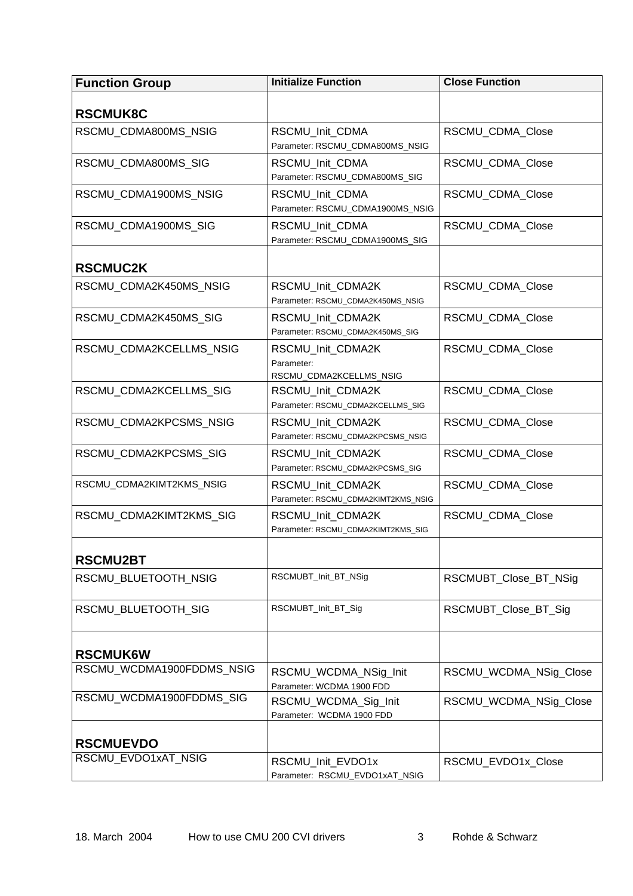<span id="page-2-0"></span>

| <b>Function Group</b>     | <b>Initialize Function</b>                                 | <b>Close Function</b>  |
|---------------------------|------------------------------------------------------------|------------------------|
| <b>RSCMUK8C</b>           |                                                            |                        |
| RSCMU_CDMA800MS_NSIG      | RSCMU_Init_CDMA<br>Parameter: RSCMU_CDMA800MS_NSIG         | RSCMU_CDMA_Close       |
| RSCMU_CDMA800MS_SIG       | RSCMU_Init_CDMA<br>Parameter: RSCMU_CDMA800MS_SIG          | RSCMU_CDMA_Close       |
| RSCMU CDMA1900MS NSIG     | RSCMU_Init_CDMA<br>Parameter: RSCMU_CDMA1900MS_NSIG        | RSCMU CDMA Close       |
| RSCMU CDMA1900MS SIG      | RSCMU_Init_CDMA<br>Parameter: RSCMU_CDMA1900MS_SIG         | RSCMU_CDMA_Close       |
| <b>RSCMUC2K</b>           |                                                            |                        |
| RSCMU CDMA2K450MS NSIG    | RSCMU_Init_CDMA2K<br>Parameter: RSCMU_CDMA2K450MS_NSIG     | RSCMU_CDMA_Close       |
| RSCMU_CDMA2K450MS_SIG     | RSCMU_Init_CDMA2K<br>Parameter: RSCMU_CDMA2K450MS_SIG      | RSCMU_CDMA_Close       |
| RSCMU_CDMA2KCELLMS_NSIG   | RSCMU_Init_CDMA2K<br>Parameter:<br>RSCMU_CDMA2KCELLMS_NSIG | RSCMU_CDMA_Close       |
| RSCMU_CDMA2KCELLMS_SIG    | RSCMU_Init_CDMA2K<br>Parameter: RSCMU_CDMA2KCELLMS_SIG     | RSCMU_CDMA_Close       |
| RSCMU_CDMA2KPCSMS_NSIG    | RSCMU_Init_CDMA2K<br>Parameter: RSCMU_CDMA2KPCSMS_NSIG     | RSCMU_CDMA_Close       |
| RSCMU_CDMA2KPCSMS_SIG     | RSCMU_Init_CDMA2K<br>Parameter: RSCMU_CDMA2KPCSMS_SIG      | RSCMU_CDMA_Close       |
| RSCMU_CDMA2KIMT2KMS_NSIG  | RSCMU_Init_CDMA2K<br>Parameter: RSCMU_CDMA2KIMT2KMS_NSIG   | RSCMU_CDMA_Close       |
| RSCMU_CDMA2KIMT2KMS_SIG   | RSCMU_Init_CDMA2K<br>Parameter: RSCMU_CDMA2KIMT2KMS_SIG    | RSCMU_CDMA_Close       |
| <b>RSCMU2BT</b>           |                                                            |                        |
| RSCMU_BLUETOOTH_NSIG      | RSCMUBT_Init_BT_NSig                                       | RSCMUBT_Close_BT_NSig  |
| RSCMU_BLUETOOTH_SIG       | RSCMUBT_Init_BT_Sig                                        | RSCMUBT_Close_BT_Sig   |
| <b>RSCMUK6W</b>           |                                                            |                        |
| RSCMU WCDMA1900FDDMS NSIG | RSCMU_WCDMA_NSig_Init<br>Parameter: WCDMA 1900 FDD         | RSCMU_WCDMA_NSig_Close |
| RSCMU_WCDMA1900FDDMS_SIG  | RSCMU_WCDMA_Sig_Init<br>Parameter: WCDMA 1900 FDD          | RSCMU_WCDMA_NSig_Close |
| <b>RSCMUEVDO</b>          |                                                            |                        |
| RSCMU_EVDO1xAT_NSIG       | RSCMU_Init_EVDO1x<br>Parameter: RSCMU_EVDO1xAT_NSIG        | RSCMU_EVDO1x_Close     |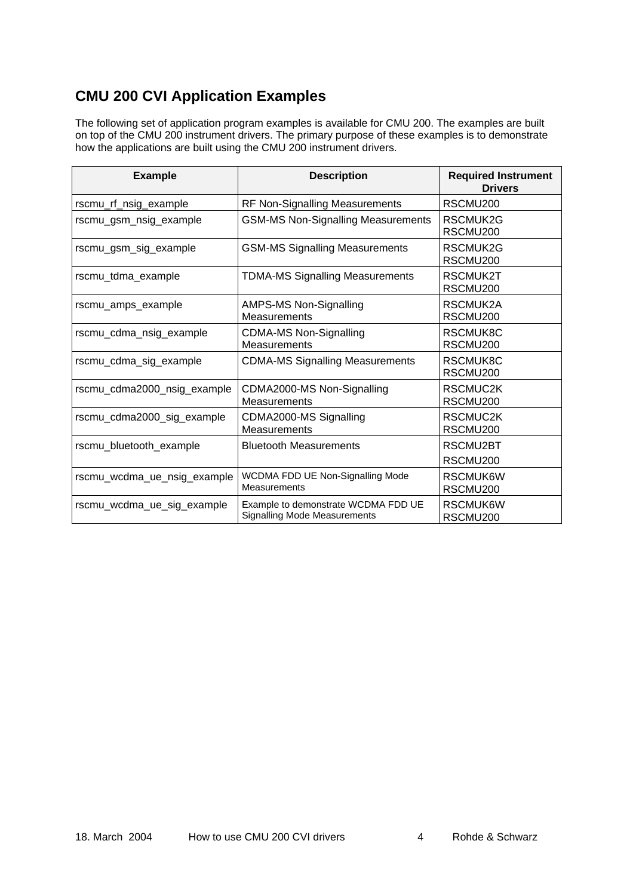# <span id="page-3-0"></span>**CMU 200 CVI Application Examples**

The following set of application program examples is available for CMU 200. The examples are built on top of the CMU 200 instrument drivers. The primary purpose of these examples is to demonstrate how the applications are built using the CMU 200 instrument drivers.

| <b>Example</b>              | <b>Description</b>                                                         | <b>Required Instrument</b><br><b>Drivers</b> |
|-----------------------------|----------------------------------------------------------------------------|----------------------------------------------|
| rscmu_rf_nsig_example       | <b>RF Non-Signalling Measurements</b>                                      | RSCMU <sub>200</sub>                         |
| rscmu_gsm_nsig_example      | <b>GSM-MS Non-Signalling Measurements</b>                                  | RSCMUK2G<br>RSCMU200                         |
| rscmu_gsm_sig_example       | <b>GSM-MS Signalling Measurements</b>                                      | RSCMUK2G<br>RSCMU <sub>200</sub>             |
| rscmu_tdma_example          | <b>TDMA-MS Signalling Measurements</b>                                     | RSCMUK2T<br>RSCMU200                         |
| rscmu_amps_example          | AMPS-MS Non-Signalling<br>Measurements                                     | RSCMUK2A<br>RSCMU <sub>200</sub>             |
| rscmu_cdma_nsig_example     | <b>CDMA-MS Non-Signalling</b><br>Measurements                              | RSCMUK8C<br>RSCMU200                         |
| rscmu_cdma_sig_example      | <b>CDMA-MS Signalling Measurements</b>                                     | RSCMUK8C<br>RSCMU200                         |
| rscmu_cdma2000_nsig_example | CDMA2000-MS Non-Signalling<br>Measurements                                 | RSCMUC2K<br>RSCMU200                         |
| rscmu_cdma2000_sig_example  | CDMA2000-MS Signalling<br>Measurements                                     | RSCMUC2K<br>RSCMU200                         |
| rscmu_bluetooth_example     | <b>Bluetooth Measurements</b>                                              | RSCMU2BT                                     |
|                             |                                                                            | RSCMU200                                     |
| rscmu_wcdma_ue_nsig_example | WCDMA FDD UE Non-Signalling Mode<br><b>Measurements</b>                    | RSCMUK6W<br>RSCMU200                         |
| rscmu_wcdma_ue_sig_example  | Example to demonstrate WCDMA FDD UE<br><b>Signalling Mode Measurements</b> | RSCMUK6W<br>RSCMU200                         |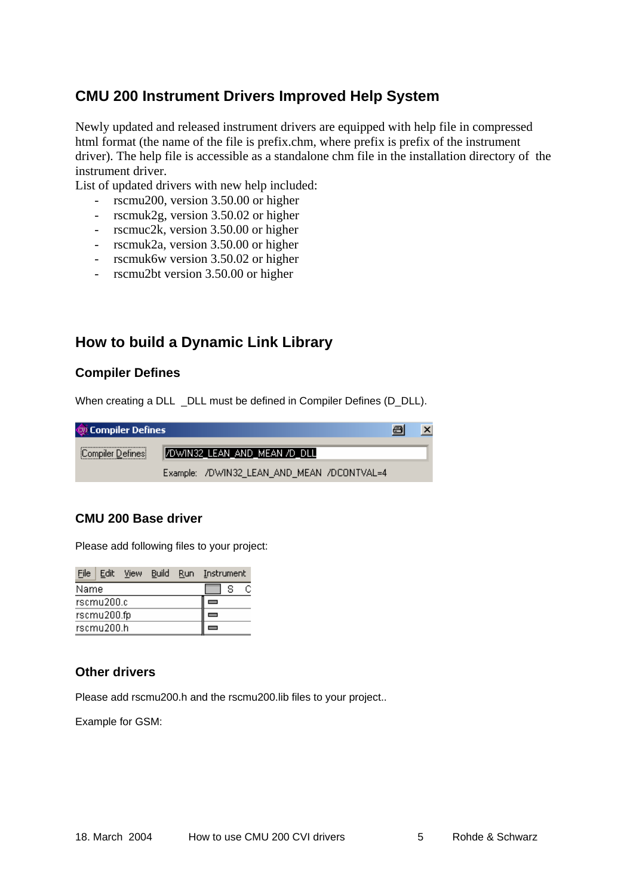### <span id="page-4-0"></span>**CMU 200 Instrument Drivers Improved Help System**

Newly updated and released instrument drivers are equipped with help file in compressed html format (the name of the file is prefix.chm, where prefix is prefix of the instrument driver). The help file is accessible as a standalone chm file in the installation directory of the instrument driver.

List of updated drivers with new help included:

- rscmu200, version 3.50.00 or higher
- rscmuk2g, version 3.50.02 or higher
- rscmuc2k, version 3.50.00 or higher
- rscmuk2a, version 3.50.00 or higher
- rscmuk6w version 3.50.02 or higher
- rscmu2bt version 3.50.00 or higher

### **How to build a Dynamic Link Library**

#### **Compiler Defines**

When creating a DLL \_DLL must be defined in Compiler Defines (D\_DLL).

| <b>QU</b> Compiler Defines |                                            | 日 | $\mathbf{x}$ |
|----------------------------|--------------------------------------------|---|--------------|
| Compiler Defines           | /DWIN32_LEAN_AND_MEAN /D_DLL               |   |              |
|                            | Example: /DWIN32_LEAN_AND_MEAN /DCONTVAL=4 |   |              |

#### **CMU 200 Base driver**

Please add following files to your project:

| File | Edit        | View Build Run Instrument |  |   |  |
|------|-------------|---------------------------|--|---|--|
| Name |             |                           |  | s |  |
|      | rscmu200.c  |                           |  |   |  |
|      | rscmu200.fp |                           |  |   |  |
|      | rscmu200.h  |                           |  |   |  |

#### **Other drivers**

Please add rscmu200.h and the rscmu200.lib files to your project..

Example for GSM: